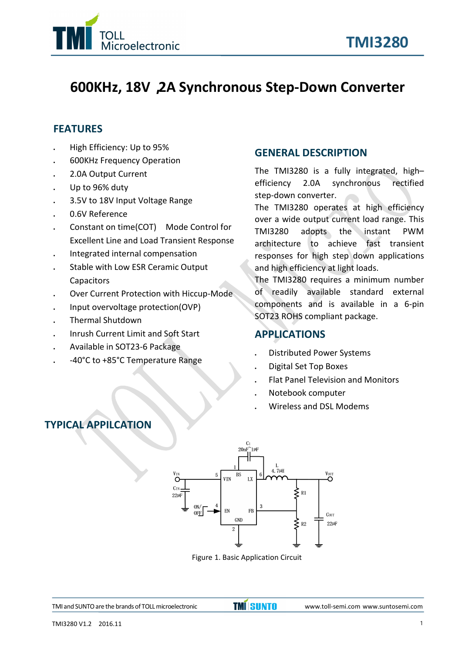

## **600KHz, 18V,2A Synchronous Step-Down Converter**

## **FEATURES**

- High Efficiency: Up to 95%
- 600KHz Frequency Operation
- 2.0A Output Current
- Up to 96% duty
- 3.5V to 18V Input Voltage Range
- 0.6V Reference
- Constant on time(COT) Mode Control for Excellent Line and Load Transient Response
- Integrated internal compensation
- Stable with Low ESR Ceramic Output **Capacitors**
- Over Current Protection with Hiccup-Mode
- Input overvoltage protection(OVP)
- Thermal Shutdown
- Inrush Current Limit and Soft Start
- Available in SOT23-6 Package
- -40°C to +85°C Temperature Range

## **GENERAL DESCRIPTION**

The TMI3280 is a fully integrated, high– efficiency 2.0A synchronous rectified step-down converter.

The TMI3280 operates at high efficiency over a wide output current load range. This adopts the instant PWM architecture to achieve fast transient responses for high step down applications and high efficiency at light loads.

The TMI3280 requires a minimum number of readily available standard external components and is available in a 6-pin SOT23 ROHS compliant package.

### **APPLICATIONS**

- Distributed Power Systems
- Digital Set Top Boxes
- Flat Panel Television and Monitors
- Notebook computer
- Wireless and DSL Modems

## **TYPICAL APPILCATION**



Figure 1. Basic Application Circuit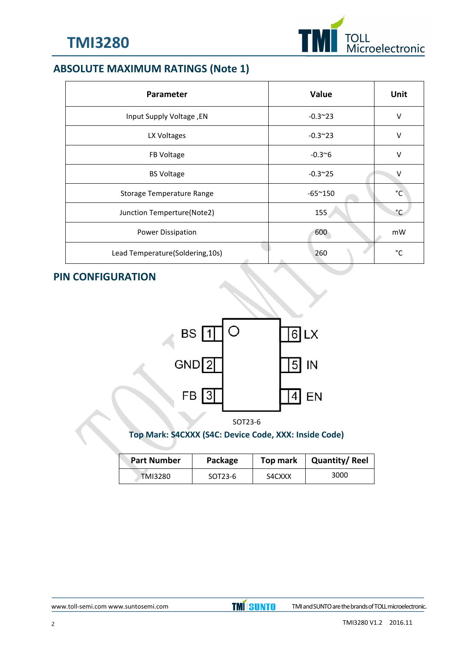

## **ABSOLUTE MAXIMUM RATINGS (Note 1)**

| Parameter                                    | Value           | Unit         |
|----------------------------------------------|-----------------|--------------|
| Input Supply Voltage, EN                     | $-0.3^{\sim}23$ | V            |
| LX Voltages                                  | $-0.3^{\sim}23$ | V            |
| FB Voltage                                   | $-0.3^{\sim}6$  | $\vee$       |
| <b>BS Voltage</b>                            | $-0.3^{\sim}25$ | V            |
| Storage Temperature Range                    | $-65^{\sim}150$ | $^{\circ}$ C |
| Junction Temperture(Note2)                   | 155             | $^{\circ}$ C |
| Power Dissipation                            | 600             | mW           |
| Lead Temperature(Soldering, 10s)<br><b>A</b> | 260             | $^{\circ}$ C |

## **PIN CONFIGURATION**



SOT23-6

## **Top Mark: S4CXXX (S4C: Device Code, XXX: Inside Code)**

| <b>Part Number</b> | Package | Top mark | <b>Quantity/Reel</b> |
|--------------------|---------|----------|----------------------|
| <b>TMI3280</b>     | SOT23-6 | S4CXXX   | 3000                 |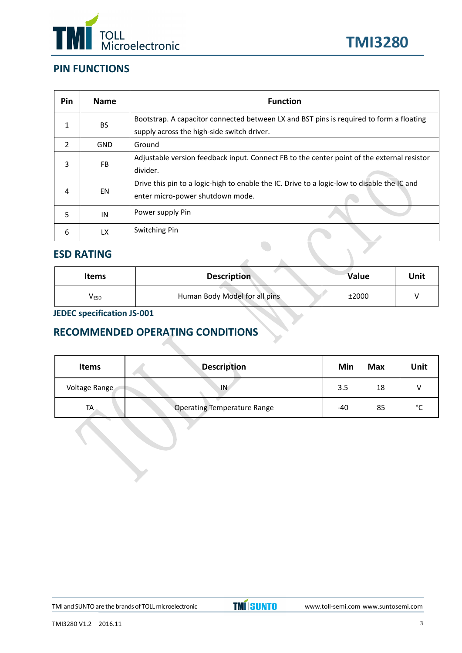



## **PIN FUNCTIONS**

| Pin           | <b>Name</b> | <b>Function</b>                                                                                                                       |
|---------------|-------------|---------------------------------------------------------------------------------------------------------------------------------------|
|               | <b>BS</b>   | Bootstrap. A capacitor connected between LX and BST pins is required to form a floating<br>supply across the high-side switch driver. |
| $\mathcal{P}$ | <b>GND</b>  | Ground                                                                                                                                |
| 3             | <b>FB</b>   | Adjustable version feedback input. Connect FB to the center point of the external resistor<br>divider.                                |
| 4             | EN          | Drive this pin to a logic-high to enable the IC. Drive to a logic-low to disable the IC and<br>enter micro-power shutdown mode.       |
| 5             | IN          | Power supply Pin                                                                                                                      |
| 6             | <b>LX</b>   | Switching Pin                                                                                                                         |

### **ESD RATING**

| <b>Items</b> | <b>Description</b>            | Value | Unit |
|--------------|-------------------------------|-------|------|
| <b>VESD</b>  | Human Body Model for all pins | ±2000 |      |

 $\Delta$ 

## **JEDEC specification JS-001**

## **RECOMMENDED OPERATING CONDITIONS**

| <b>Items</b>  | <b>Description</b>                 | Min | <b>Max</b> | Unit        |
|---------------|------------------------------------|-----|------------|-------------|
| Voltage Range | ١N                                 | 3.5 | 18         |             |
| TA            | <b>Operating Temperature Range</b> | -40 | 85         | $\sim$<br>֊ |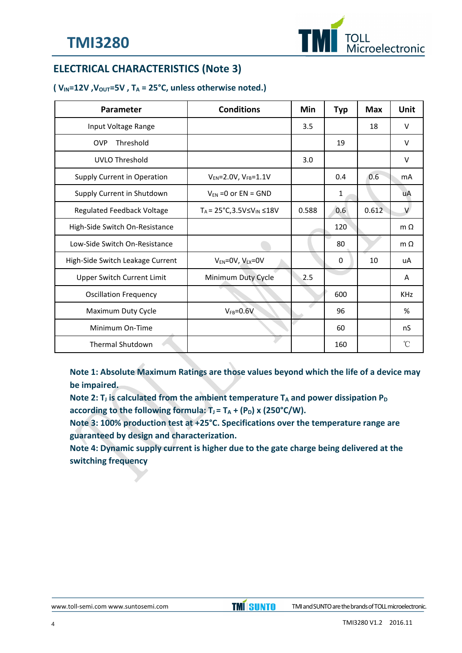

## **ELECTRICAL CHARACTERISTICS (Note 3)**

#### $(V_{IN} = 12V, V_{OUT} = 5V, T_A = 25°C, unless otherwise noted.)$

| Parameter                        | <b>Conditions</b>                            | Min   | <b>Typ</b> | <b>Max</b> | <b>Unit</b>  |
|----------------------------------|----------------------------------------------|-------|------------|------------|--------------|
| Input Voltage Range              |                                              | 3.5   |            | 18         | $\vee$       |
| Threshold<br><b>OVP</b>          |                                              |       | 19         |            | $\vee$       |
| UVLO Threshold                   |                                              | 3.0   |            |            | $\vee$       |
| Supply Current in Operation      | $V_{EN} = 2.0 V, V_{FB} = 1.1 V$             |       | 0.4        | 0.6        | mA           |
| Supply Current in Shutdown       | $V_{EN}$ =0 or EN = GND                      |       | 1          |            | uA           |
| Regulated Feedback Voltage       | $T_A = 25^{\circ}C, 3.5V \le V_{IN} \le 18V$ | 0.588 | 0.6        | 0.612      | $\vee$       |
| High-Side Switch On-Resistance   |                                              |       | 120        |            | $m \Omega$   |
| Low-Side Switch On-Resistance    |                                              |       | 80         |            | m $\Omega$   |
| High-Side Switch Leakage Current | $V_{EN} = 0V$ , $V_{LX} = 0V$                |       | 0          | 10         | uA           |
| Upper Switch Current Limit       | Minimum Duty Cycle                           | 2.5   |            |            | Α            |
| <b>Oscillation Frequency</b>     |                                              |       | 600        |            | <b>KHz</b>   |
| Maximum Duty Cycle               | $V_{FB} = 0.6V$                              |       | 96         |            | %            |
| Minimum On-Time                  |                                              |       | 60         |            | nS           |
| Thermal Shutdown                 |                                              |       | 160        |            | $^{\circ}$ C |

**Note 1: Absolute Maximum Ratings are those values beyond which the life ofa device may be impaired.**

**Note 2: T**<sub>*J*</sub> is calculated from the ambient temperature  $T_A$  and power dissipation  $P_D$ **according to the following formula:**  $T_J = T_A + (P_D)$  **x** (250°C/W).

**Note 3: 100% production test at +25°C. Specifications over the temperature range are guaranteed bydesign and characterization.**

**Note 4: Dynamic supply current is higher due to the gate charge being delivered at the switching frequency**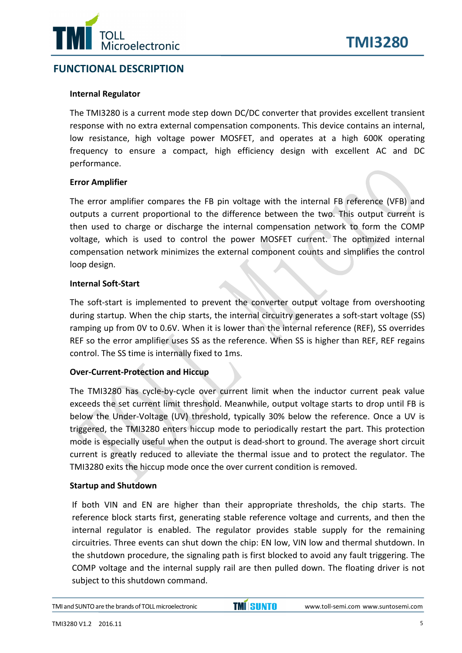

## **FUNCTIONAL DESCRIPTION**

#### **Internal Regulator**

The TMI3280 is a current mode step down DC/DC converter that provides excellent transient response with no extra external compensation components. This device contains an internal, low resistance, high voltage power MOSFET, and operates at a high 600K operating frequency to ensure a compact, high efficiency design with excellent AC and DC performance.

#### **Error Amplifier**

The error amplifier compares the FB pin voltage with the internal FB reference (VFB) and outputs a current proportional to the difference between the two. This output current is then used to charge or discharge the internal compensation network to form the COMP voltage, which is used to control the power MOSFET current. The optimized internal compensation network minimizes the external component counts and simplifies the control loop design.

#### **Internal Soft-Start**

The soft-start is implemented to prevent the converter output voltage from overshooting during startup. When the chip starts, the internal circuitry generates a soft-start voltage (SS) ramping up from 0V to 0.6V. When it is lower than the internal reference (REF), SS overrides REF so the error amplifier uses SS as the reference. When SS is higher than REF, REF regains control. The SS time is internally fixed to 1ms.

#### **Over-Current-Protection and Hiccup**

The TMI3280 has cycle-by-cycle over current limit when the inductor current peak value exceeds the set current limit threshold. Meanwhile, output voltage starts to drop until FB is below the Under-Voltage (UV) threshold, typically 30% below the reference. Once a UV is triggered, the TMI3280 enters hiccup mode to periodically restart the part. This protection mode is especially useful when the output is dead-short to ground. The average short circuit current is greatly reduced to alleviate the thermal issue and to protect the regulator. The TMI3280 exits the hiccup mode once the over current condition is removed.

#### **Startup and Shutdown**

If both VIN and EN are higher than their appropriate thresholds, the chip starts. The reference block starts first, generating stable reference voltage and currents, and then the internal regulator is enabled. The regulator provides stable supply for the remaining circuitries. Three events can shut down the chip: EN low, VIN low and thermal shutdown. In the shutdown procedure, the signaling path is first blocked to avoid any fault triggering. The COMP voltage and the internal supply rail are then pulled down. The floating driver is not subject to this shutdown command.

TMI and SUNTO are the brands of TOLL microelectronic **TMISUNTO** TMI3280 V1.2 2016.11 [www.toll-semi.com](http://www.toll-semi.com) www.suntosemi.com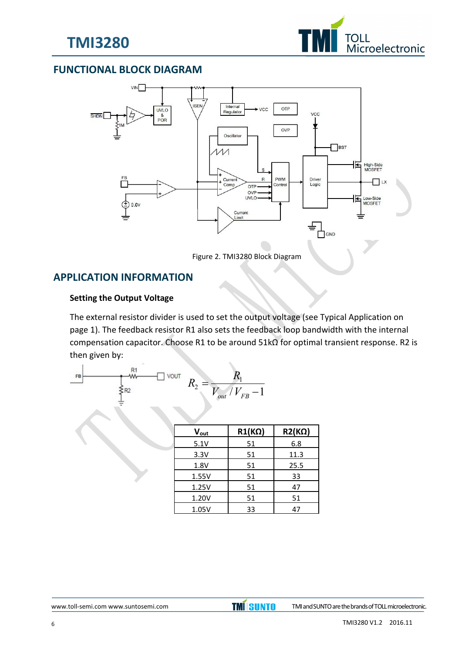



## **FUNCTIONAL BLOCK DIAGRAM**



Figure 2. TMI3280 Block Diagram

### **APPLICATION INFORMATION**

#### **Setting the Output Voltage**

The external resistor divider is used to set the output voltage (see Typical Application on page 1). The feedback resistor R1 also sets the feedback loop bandwidth with the internal compensation capacitor. Choose R1 to be around 51kΩ for optimal transient response. R2 is then given by:

$$
R_2 = \frac{R_1}{\sum_{i=1}^{R_1} R_2}
$$

| Vout  | $R1(K\Omega)$ | $R2(K\Omega)$ |
|-------|---------------|---------------|
| 5.1V  | 51            | 6.8           |
| 3.3V  | 51            | 11.3          |
| 1.8V  | 51            | 25.5          |
| 1.55V | 51            | 33            |
| 1.25V | 51            | 47            |
| 1.20V | 51            | 51            |
| 1.05V | 33            | 47            |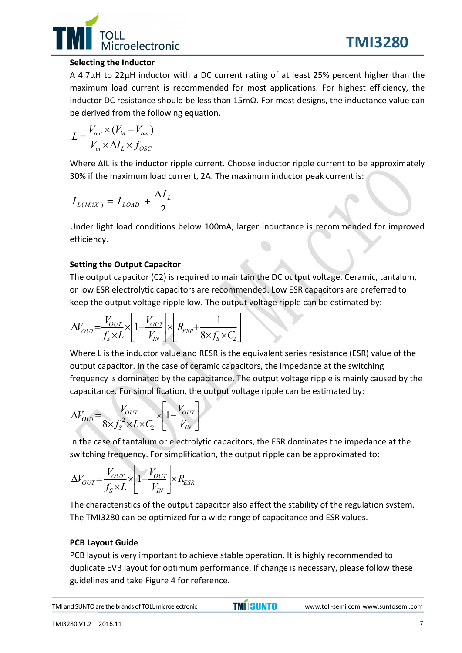

**TMI3280**

#### **Selecting the Inductor**

A 4.7μH to 22μH inductor with a DC current rating of at least 25% percent higher than the maximum load current is recommended for most applications. For highest efficiency, the inductor DC resistance should be less than 15mΩ. For most designs, the inductance value can be derived from the following equation.

$$
L = \frac{V_{out} \times (V_{in} - V_{out})}{V_{in} \times \Delta I_L \times f_{OSC}}
$$

Where ΔIL is the inductor ripple current. Choose inductor ripple current to be approximately 30% if the maximum load current, 2A. The maximum inductor peak current is:

$$
I_{L(MAX)} = I_{LOAD} + \frac{\Delta I_L}{2}
$$

Under light load conditions below 100mA, larger inductance is recommended for improved efficiency.

#### **Setting the Output Capacitor**

The output capacitor (C2) is required to maintain the DC output voltage. Ceramic, tantalum, or low ESR electrolytic capacitors are recommended. Low ESR capacitors are preferred to keep the output voltage ripple low. The output voltage ripple can be estimated by:

$$
\Delta V_{OUT} = \frac{V_{OUT}}{f_S \times L} \times \left[1 - \frac{V_{OUT}}{V_{IN}}\right] \times \left[R_{ESR} + \frac{1}{8 \times f_S \times C_2}\right]
$$

Where L is the inductor value and RESR is the equivalent series resistance (ESR) value of the output capacitor. In the case of ceramic capacitors, the impedance at the switching frequency is dominated by the capacitance. The output voltage ripple is mainly caused by the capacitance. For simplification, the output voltage ripple can be estimated by:

$$
\Delta V_{OUT} = \frac{V_{OUT}}{8 \times f_s^2 \times L \times C_2} \times \left[1 - \frac{V_{OUT}}{V_{IN}}\right]
$$

In the case of tantalum or electrolytic capacitors, the ESR dominates the impedance at the switching frequency. For simplification, the output ripple can be approximated to:

$$
\Delta V_{OUT} = \frac{V_{OUT}}{f_S \times L} \times \left[1 - \frac{V_{OUT}}{V_{IN}}\right] \times R_{ESR}
$$

The characteristics of the output capacitor also affect the stability of the regulation system. The TMI3280 can be optimized for a wide range of capacitance and ESR values.

### **PCB Layout Guide**

PCB layout is very important to achieve stable operation. It is highly recommended to duplicate EVB layout for optimum performance. If change is necessary, please follow these guidelines and take Figure 4 for reference.

TMI and SUNTO are the brands of TOLL microelectronic **TMI** SUNTO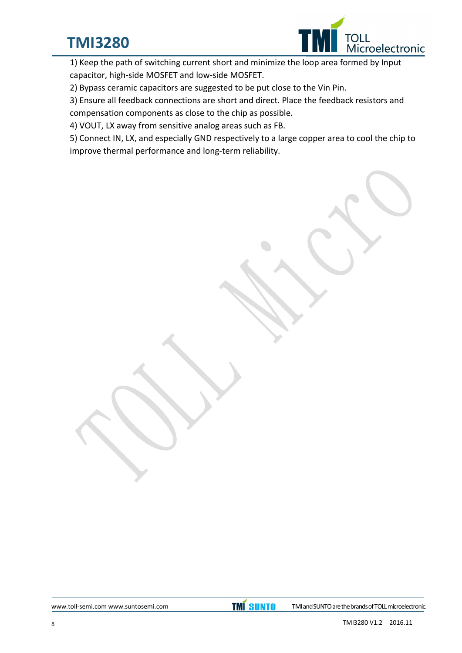# **TMI3280**



1) Keep the path of switching current short and minimize the loop area formed by Input capacitor, high-side MOSFET and low-side MOSFET.

2) Bypass ceramic capacitors are suggested to be put close to the Vin Pin.

3) Ensure all feedback connections are short and direct. Place the feedback resistors and compensation components as close to the chip as possible.

4) VOUT, LX away from sensitive analog areas such as FB.

5) Connect IN, LX, and especially GND respectively to a large copper area to cool the chip to improve thermal performance and long-term reliability.